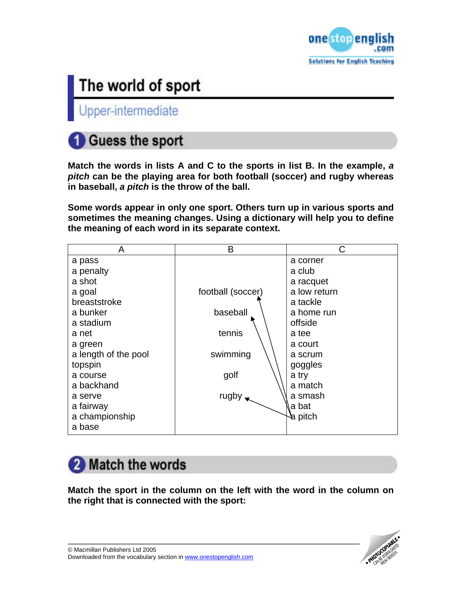

Upper-intermediate

# Guess the sport

**Match the words in lists A and C to the sports in list B. In the example,** *a pitch* **can be the playing area for both football (soccer) and rugby whereas in baseball,** *a pitch* **is the throw of the ball.** 

**Some words appear in only one sport. Others turn up in various sports and sometimes the meaning changes. Using a dictionary will help you to define the meaning of each word in its separate context.** 

| A                    | B                 | C              |
|----------------------|-------------------|----------------|
| a pass               |                   | a corner       |
| a penalty            |                   | a club         |
| a shot               |                   | a racquet      |
| a goal               | football (soccer) | a low return   |
| breaststroke         |                   | a tackle       |
| a bunker             | baseball          | a home run     |
| a stadium            |                   | offside        |
| a net                | tennis            | a tee          |
| a green              |                   | a court        |
| a length of the pool | swimming          | a scrum        |
| topspin              |                   | goggles        |
| a course             | golf              | a try          |
| a backhand           |                   | a match        |
| a serve              | rugby.            | a smash        |
| a fairway            |                   | a bat          |
| a championship       |                   | <b>a</b> pitch |
| a base               |                   |                |

# 2 Match the words

**Match the sport in the column on the left with the word in the column on the right that is connected with the sport:** 

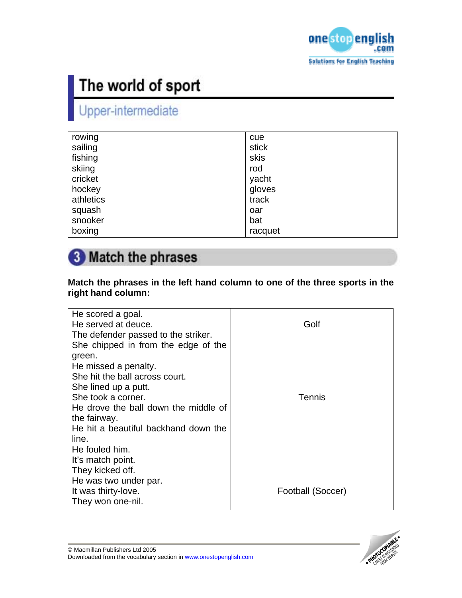

| rowing    | cue     |
|-----------|---------|
| sailing   | stick   |
| fishing   | skis    |
| skiing    | rod     |
| cricket   | yacht   |
| hockey    | gloves  |
| athletics | track   |
| squash    | oar     |
| snooker   | bat     |
| boxing    | racquet |

# **8** Match the phrases

**Match the phrases in the left hand column to one of the three sports in the right hand column:** 

| He scored a goal.<br>He served at deuce.      | Golf              |
|-----------------------------------------------|-------------------|
| The defender passed to the striker.           |                   |
| She chipped in from the edge of the<br>green. |                   |
| He missed a penalty.                          |                   |
| She hit the ball across court.                |                   |
| She lined up a putt.                          |                   |
| She took a corner.                            | <b>Tennis</b>     |
| He drove the ball down the middle of          |                   |
| the fairway.                                  |                   |
| He hit a beautiful backhand down the          |                   |
| line.                                         |                   |
| He fouled him.                                |                   |
| It's match point.                             |                   |
| They kicked off.                              |                   |
| He was two under par.                         |                   |
| It was thirty-love.                           | Football (Soccer) |
| They won one-nil.                             |                   |

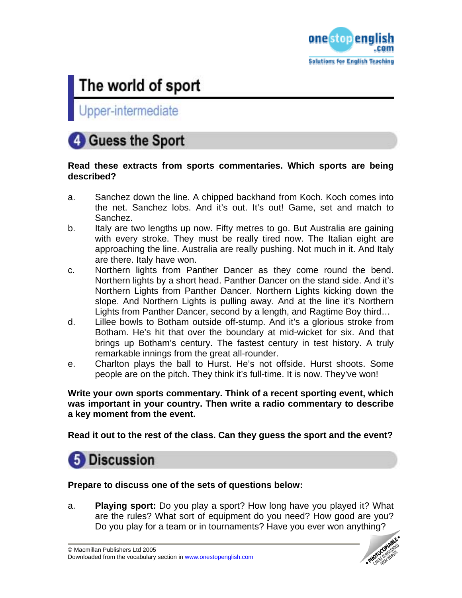

Upper-intermediate

# **Guess the Sport**

#### **Read these extracts from sports commentaries. Which sports are being described?**

- a. Sanchez down the line. A chipped backhand from Koch. Koch comes into the net. Sanchez lobs. And it's out. It's out! Game, set and match to Sanchez.
- b. Italy are two lengths up now. Fifty metres to go. But Australia are gaining with every stroke. They must be really tired now. The Italian eight are approaching the line. Australia are really pushing. Not much in it. And Italy are there. Italy have won.
- c. Northern lights from Panther Dancer as they come round the bend. Northern lights by a short head. Panther Dancer on the stand side. And it's Northern Lights from Panther Dancer. Northern Lights kicking down the slope. And Northern Lights is pulling away. And at the line it's Northern Lights from Panther Dancer, second by a length, and Ragtime Boy third…
- d. Lillee bowls to Botham outside off-stump. And it's a glorious stroke from Botham. He's hit that over the boundary at mid-wicket for six. And that brings up Botham's century. The fastest century in test history. A truly remarkable innings from the great all-rounder.
- e. Charlton plays the ball to Hurst. He's not offside. Hurst shoots. Some people are on the pitch. They think it's full-time. It is now. They've won!

#### **Write your own sports commentary. Think of a recent sporting event, which was important in your country. Then write a radio commentary to describe a key moment from the event.**

**Read it out to the rest of the class. Can they guess the sport and the event?** 

# **5** Discussion

### **Prepare to discuss one of the sets of questions below:**

a. **Playing sport:** Do you play a sport? How long have you played it? What are the rules? What sort of equipment do you need? How good are you? Do you play for a team or in tournaments? Have you ever won anything?

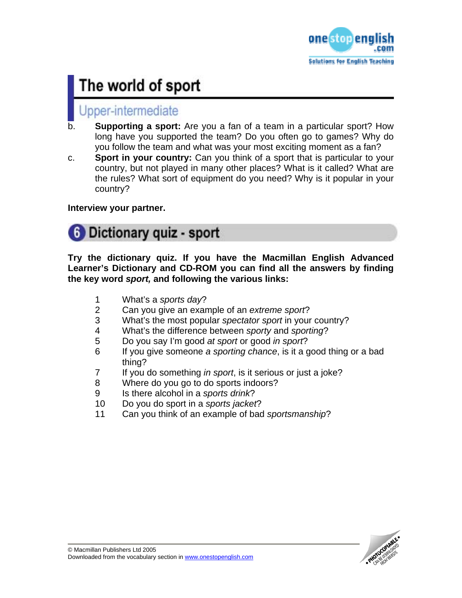

## Upper-intermediate

- b. **Supporting a sport:** Are you a fan of a team in a particular sport? How long have you supported the team? Do you often go to games? Why do you follow the team and what was your most exciting moment as a fan?
- c. **Sport in your country:** Can you think of a sport that is particular to your country, but not played in many other places? What is it called? What are the rules? What sort of equipment do you need? Why is it popular in your country?

### **Interview your partner.**



**Try the dictionary quiz. If you have the Macmillan English Advanced Learner's Dictionary and CD-ROM you can find all the answers by finding the key word** *sport,* **and following the various links:** 

- 1 What's a *sports day*?
- 2 Can you give an example of an *extreme sport*?
- 3 What's the most popular *spectator sport* in your country?
- 4 What's the difference between *sporty* and *sporting*?
- 5 Do you say I'm good *at sport* or good *in sport*?
- 6 If you give someone *a sporting chance*, is it a good thing or a bad thing?
- 7 If you do something *in sport*, is it serious or just a joke?
- 8 Where do you go to do sports indoors?
- 9 Is there alcohol in a *sports drink*?
- 10 Do you do sport in a *sports jacket*?
- 11 Can you think of an example of bad *sportsmanship*?

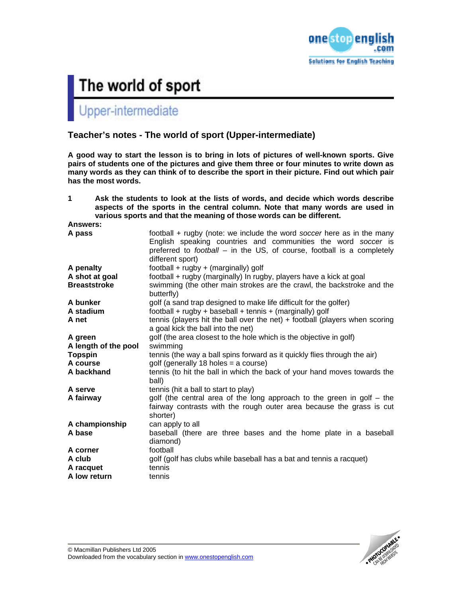

# Upper-intermediate

#### **Teacher's notes - The world of sport (Upper-intermediate)**

**A good way to start the lesson is to bring in lots of pictures of well-known sports. Give pairs of students one of the pictures and give them three or four minutes to write down as many words as they can think of to describe the sport in their picture. Find out which pair has the most words.** 

| $\mathbf{1}$         | Ask the students to look at the lists of words, and decide which words describe<br>aspects of the sports in the central column. Note that many words are used in<br>various sports and that the meaning of those words can be different.     |
|----------------------|----------------------------------------------------------------------------------------------------------------------------------------------------------------------------------------------------------------------------------------------|
| Answers:             |                                                                                                                                                                                                                                              |
| A pass               | football + rugby (note: we include the word soccer here as in the many<br>English speaking countries and communities the word soccer is<br>preferred to <i>football -</i> in the US, of course, football is a completely<br>different sport) |
| A penalty            | football + $rugby + (marginally)$ golf                                                                                                                                                                                                       |
| A shot at goal       | football + rugby (marginally) In rugby, players have a kick at goal                                                                                                                                                                          |
| <b>Breaststroke</b>  | swimming (the other main strokes are the crawl, the backstroke and the<br>butterfly)                                                                                                                                                         |
| A bunker             | golf (a sand trap designed to make life difficult for the golfer)                                                                                                                                                                            |
| A stadium            | football + rugby + baseball + tennis + (marginally) golf                                                                                                                                                                                     |
| A net                | tennis (players hit the ball over the net) $+$ football (players when scoring<br>a goal kick the ball into the net)                                                                                                                          |
| A green              | golf (the area closest to the hole which is the objective in golf)                                                                                                                                                                           |
| A length of the pool | swimming                                                                                                                                                                                                                                     |
| <b>Topspin</b>       | tennis (the way a ball spins forward as it quickly flies through the air)                                                                                                                                                                    |
| A course             | golf (generally 18 holes = a course)                                                                                                                                                                                                         |
| A backhand           | tennis (to hit the ball in which the back of your hand moves towards the<br>ball)                                                                                                                                                            |
| A serve              | tennis (hit a ball to start to play)                                                                                                                                                                                                         |
| A fairway            | golf (the central area of the long approach to the green in golf – the<br>fairway contrasts with the rough outer area because the grass is cut<br>shorter)                                                                                   |
| A championship       | can apply to all                                                                                                                                                                                                                             |
| A base               | baseball (there are three bases and the home plate in a baseball<br>diamond)                                                                                                                                                                 |
| A corner             | football                                                                                                                                                                                                                                     |
| A club               | golf (golf has clubs while baseball has a bat and tennis a racquet)                                                                                                                                                                          |
| A racquet            | tennis                                                                                                                                                                                                                                       |
| A low return         | tennis                                                                                                                                                                                                                                       |
|                      |                                                                                                                                                                                                                                              |

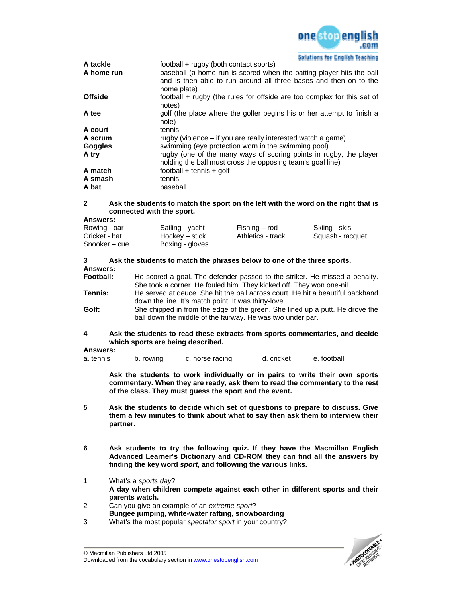

| A tackle       | football + rugby (both contact sports)                                                                                                                   |
|----------------|----------------------------------------------------------------------------------------------------------------------------------------------------------|
| A home run     | baseball (a home run is scored when the batting player hits the ball<br>and is then able to run around all three bases and then on to the<br>home plate) |
| <b>Offside</b> | football + rugby (the rules for offside are too complex for this set of<br>notes)                                                                        |
| A tee          | golf (the place where the golfer begins his or her attempt to finish a<br>hole)                                                                          |
| A court        | tennis                                                                                                                                                   |
| A scrum        | rugby (violence – if you are really interested watch a game)                                                                                             |
| Goggles        | swimming (eye protection worn in the swimming pool)                                                                                                      |
| A try          | rugby (one of the many ways of scoring points in rugby, the player<br>holding the ball must cross the opposing team's goal line)                         |
| A match        | football $+$ tennis $+$ golf                                                                                                                             |
| A smash        | tennis                                                                                                                                                   |
| A bat          | baseball                                                                                                                                                 |

#### **2 Ask the students to match the sport on the left with the word on the right that is connected with the sport.**

#### **Answers:**

| Rowing - oar  | Sailing - yacht | Fishing – rod     | Skiing - skis    |
|---------------|-----------------|-------------------|------------------|
| Cricket - bat | Hockey – stick  | Athletics - track | Squash - racquet |
| Snooker – cue | Boxing - gloves |                   |                  |

#### **3 Ask the students to match the phrases below to one of the three sports. Answers: Football:** He scored a goal. The defender passed to the striker. He missed a penalty.

| гоотран: | He scored a goal. The defender passed to the striker. He missed a penalty.     |  |
|----------|--------------------------------------------------------------------------------|--|
|          | She took a corner. He fouled him. They kicked off. They won one-nil.           |  |
| Tennis:  | He served at deuce. She hit the ball across court. He hit a beautiful backhand |  |
|          | down the line. It's match point. It was thirty-love.                           |  |
| Golf:    | She chipped in from the edge of the green. She lined up a putt. He drove the   |  |
|          | ball down the middle of the fairway. He was two under par.                     |  |

#### **4 Ask the students to read these extracts from sports commentaries, and decide which sports are being described.**

#### **Answers:**

| a. tennis | b. rowing | c. horse racing | d. cricket | e. football |
|-----------|-----------|-----------------|------------|-------------|
|-----------|-----------|-----------------|------------|-------------|

**Ask the students to work individually or in pairs to write their own sports commentary. When they are ready, ask them to read the commentary to the rest of the class. They must guess the sport and the event.** 

- **5 Ask the students to decide which set of questions to prepare to discuss. Give them a few minutes to think about what to say then ask them to interview their partner.**
- **6 Ask students to try the following quiz. If they have the Macmillan English Advanced Learner's Dictionary and CD-ROM they can find all the answers by finding the key word** *sport***, and following the various links.**
- 1 What's a *sports day*? **A day when children compete against each other in different sports and their parents watch.**
- 2 Can you give an example of an *extreme sport*?  **Bungee jumping, white-water rafting, snowboarding**
- 3 What's the most popular *spectator sport* in your country?